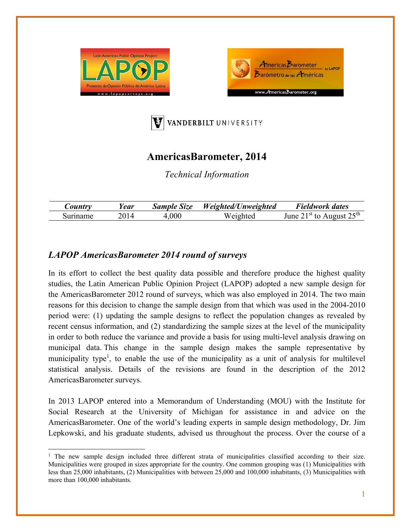





# **AmericasBarometer, 2014**

*Technical Information* 

| $\mathcal{L}$ ountry | 'ear | <b>Sample Size</b> | Weighted/Unweighted | Fieldwork dates                       |
|----------------------|------|--------------------|---------------------|---------------------------------------|
| Suriname             |      | .000               | Weighted            | August $25th$<br>$1^{st}$ to<br>June. |

## *LAPOP AmericasBarometer 2014 round of surveys*

In its effort to collect the best quality data possible and therefore produce the highest quality studies, the Latin American Public Opinion Project (LAPOP) adopted a new sample design for the AmericasBarometer 2012 round of surveys, which was also employed in 2014. The two main reasons for this decision to change the sample design from that which was used in the 2004-2010 period were: (1) updating the sample designs to reflect the population changes as revealed by recent census information, and (2) standardizing the sample sizes at the level of the municipality in order to both reduce the variance and provide a basis for using multi-level analysis drawing on municipal data. This change in the sample design makes the sample representative by municipality type<sup>1</sup>, to enable the use of the municipality as a unit of analysis for multilevel statistical analysis. Details of the revisions are found in the description of the 2012 AmericasBarometer surveys.

In 2013 LAPOP entered into a Memorandum of Understanding (MOU) with the Institute for Social Research at the University of Michigan for assistance in and advice on the AmericasBarometer. One of the world's leading experts in sample design methodology, Dr. Jim Lepkowski, and his graduate students, advised us throughout the process. Over the course of a

<sup>&</sup>lt;sup>1</sup> The new sample design included three different strata of municipalities classified according to their size. Municipalities were grouped in sizes appropriate for the country. One common grouping was (1) Municipalities with less than 25,000 inhabitants, (2) Municipalities with between 25,000 and 100,000 inhabitants, (3) Municipalities with more than 100,000 inhabitants.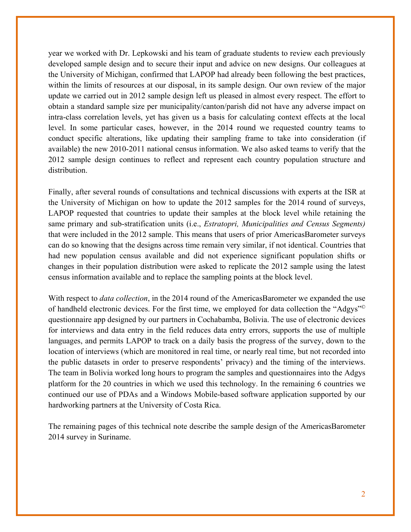year we worked with Dr. Lepkowski and his team of graduate students to review each previously developed sample design and to secure their input and advice on new designs. Our colleagues at the University of Michigan, confirmed that LAPOP had already been following the best practices, within the limits of resources at our disposal, in its sample design. Our own review of the major update we carried out in 2012 sample design left us pleased in almost every respect. The effort to obtain a standard sample size per municipality/canton/parish did not have any adverse impact on intra-class correlation levels, yet has given us a basis for calculating context effects at the local level. In some particular cases, however, in the 2014 round we requested country teams to conduct specific alterations, like updating their sampling frame to take into consideration (if available) the new 2010-2011 national census information. We also asked teams to verify that the 2012 sample design continues to reflect and represent each country population structure and distribution.

Finally, after several rounds of consultations and technical discussions with experts at the ISR at the University of Michigan on how to update the 2012 samples for the 2014 round of surveys, LAPOP requested that countries to update their samples at the block level while retaining the same primary and sub-stratification units (i.e., *Estratopri, Municipalities and Census Segments)*  that were included in the 2012 sample. This means that users of prior AmericasBarometer surveys can do so knowing that the designs across time remain very similar, if not identical. Countries that had new population census available and did not experience significant population shifts or changes in their population distribution were asked to replicate the 2012 sample using the latest census information available and to replace the sampling points at the block level.

With respect to *data collection*, in the 2014 round of the AmericasBarometer we expanded the use of handheld electronic devices. For the first time, we employed for data collection the "Adgys"© questionnaire app designed by our partners in Cochabamba, Bolivia. The use of electronic devices for interviews and data entry in the field reduces data entry errors, supports the use of multiple languages, and permits LAPOP to track on a daily basis the progress of the survey, down to the location of interviews (which are monitored in real time, or nearly real time, but not recorded into the public datasets in order to preserve respondents' privacy) and the timing of the interviews. The team in Bolivia worked long hours to program the samples and questionnaires into the Adgys platform for the 20 countries in which we used this technology. In the remaining 6 countries we continued our use of PDAs and a Windows Mobile-based software application supported by our hardworking partners at the University of Costa Rica.

The remaining pages of this technical note describe the sample design of the AmericasBarometer 2014 survey in Suriname.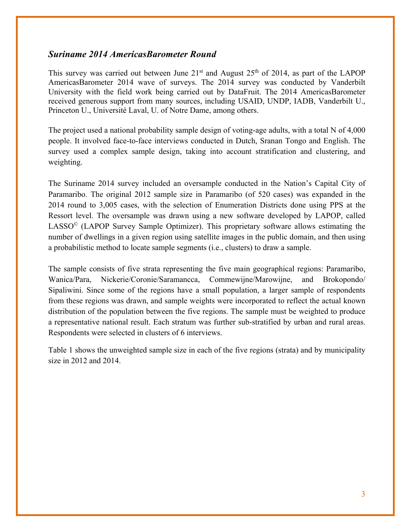### *Suriname 2014 AmericasBarometer Round*

This survey was carried out between June  $21<sup>st</sup>$  and August  $25<sup>th</sup>$  of 2014, as part of the LAPOP AmericasBarometer 2014 wave of surveys. The 2014 survey was conducted by Vanderbilt University with the field work being carried out by DataFruit. The 2014 AmericasBarometer received generous support from many sources, including USAID, UNDP, IADB, Vanderbilt U., Princeton U., Université Laval, U. of Notre Dame, among others.

The project used a national probability sample design of voting-age adults, with a total N of 4,000 people. It involved face-to-face interviews conducted in Dutch, Sranan Tongo and English. The survey used a complex sample design, taking into account stratification and clustering, and weighting.

The Suriname 2014 survey included an oversample conducted in the Nation's Capital City of Paramaribo. The original 2012 sample size in Paramaribo (of 520 cases) was expanded in the 2014 round to 3,005 cases, with the selection of Enumeration Districts done using PPS at the Ressort level. The oversample was drawn using a new software developed by LAPOP, called  $LASSO<sup>°</sup>$  (LAPOP Survey Sample Optimizer). This proprietary software allows estimating the number of dwellings in a given region using satellite images in the public domain, and then using a probabilistic method to locate sample segments (i.e., clusters) to draw a sample.

The sample consists of five strata representing the five main geographical regions: Paramaribo, Wanica/Para, Nickerie/Coronie/Saramancca, Commewijne/Marowijne, and Brokopondo/ Sipaliwini. Since some of the regions have a small population, a larger sample of respondents from these regions was drawn, and sample weights were incorporated to reflect the actual known distribution of the population between the five regions. The sample must be weighted to produce a representative national result. Each stratum was further sub-stratified by urban and rural areas. Respondents were selected in clusters of 6 interviews.

Table 1 shows the unweighted sample size in each of the five regions (strata) and by municipality size in 2012 and 2014.